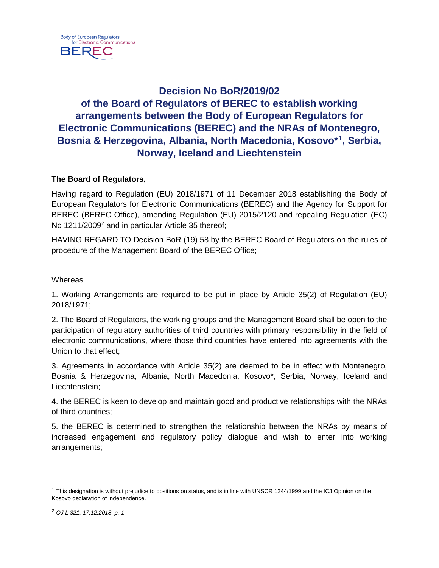# **Decision No BoR/2019/02 of the Board of Regulators of BEREC to establish working arrangements between the Body of European Regulators for Electronic Communications (BEREC) and the NRAs of Montenegro, Bosnia & Herzegovina, Albania, North Macedonia, Kosovo\*[1](#page-0-0), Serbia, Norway, Iceland and Liechtenstein**

## **The Board of Regulators,**

Having regard to Regulation (EU) 2018/1971 of 11 December 2018 establishing the Body of European Regulators for Electronic Communications (BEREC) and the Agency for Support for BEREC (BEREC Office), amending Regulation (EU) 2015/2120 and repealing Regulation (EC) No 1[2](#page-0-1)11/2009<sup>2</sup> and in particular Article 35 thereof;

HAVING REGARD TO Decision BoR (19) 58 by the BEREC Board of Regulators on the rules of procedure of the Management Board of the BEREC Office;

### **Whereas**

1. Working Arrangements are required to be put in place by Article 35(2) of Regulation (EU) 2018/1971;

2. The Board of Regulators, the working groups and the Management Board shall be open to the participation of regulatory authorities of third countries with primary responsibility in the field of electronic communications, where those third countries have entered into agreements with the Union to that effect;

3. Agreements in accordance with Article 35(2) are deemed to be in effect with Montenegro, Bosnia & Herzegovina, Albania, North Macedonia, Kosovo\*, Serbia, Norway, Iceland and Liechtenstein;

4. the BEREC is keen to develop and maintain good and productive relationships with the NRAs of third countries;

5. the BEREC is determined to strengthen the relationship between the NRAs by means of increased engagement and regulatory policy dialogue and wish to enter into working arrangements;

<span id="page-0-1"></span><span id="page-0-0"></span><sup>&</sup>lt;sup>1</sup> This designation is without prejudice to positions on status, and is in line with UNSCR 1244/1999 and the ICJ Opinion on the Kosovo declaration of independence.